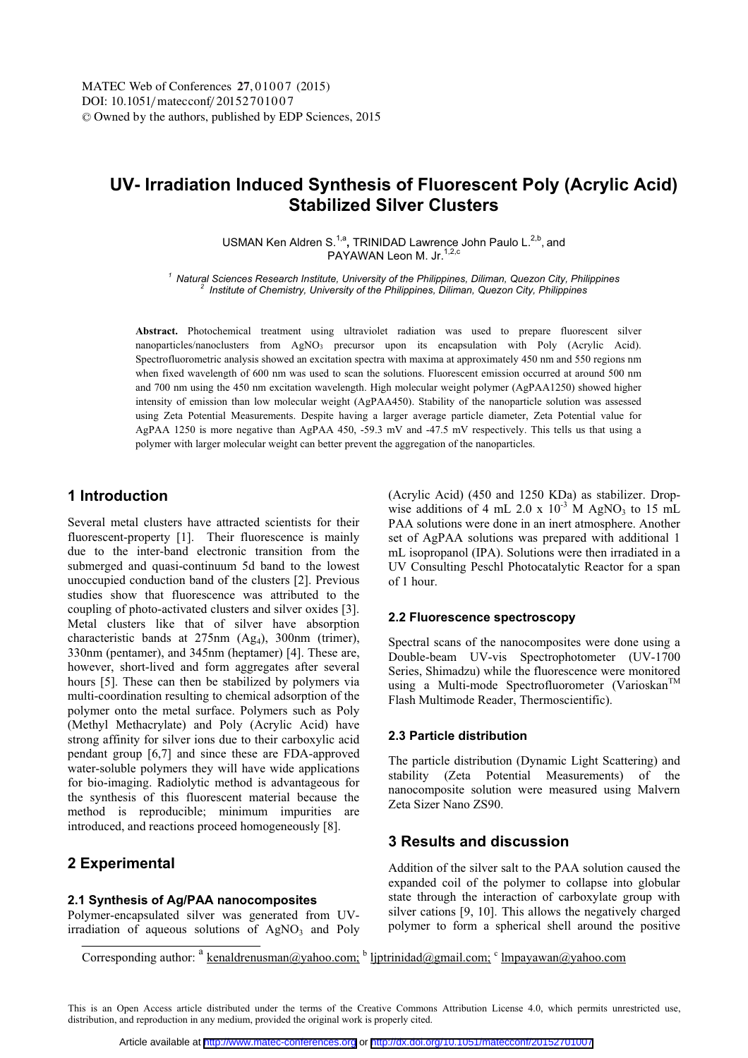# **UV- Irradiation Induced Synthesis of Fluorescent Poly (Acrylic Acid) Stabilized Silver Clusters**

USMAN Ken Aldren S.<sup>1,a</sup>, TRINIDAD Lawrence John Paulo L.<sup>2,b</sup>, and PAYAWAN Leon M. Jr.<sup>1,2,c</sup>

*<sup>1</sup> Natural Sciences Research Institute, University of the Philippines, Diliman, Quezon City, Philippines 2 Institute of Chemistry, University of the Philippines, Diliman, Quezon City, Philippines* 

**Abstract.** Photochemical treatment using ultraviolet radiation was used to prepare fluorescent silver nanoparticles/nanoclusters from AgNO<sub>3</sub> precursor upon its encapsulation with Poly (Acrylic Acid). Spectrofluorometric analysis showed an excitation spectra with maxima at approximately 450 nm and 550 regions nm when fixed wavelength of 600 nm was used to scan the solutions. Fluorescent emission occurred at around 500 nm and 700 nm using the 450 nm excitation wavelength. High molecular weight polymer (AgPAA1250) showed higher intensity of emission than low molecular weight (AgPAA450). Stability of the nanoparticle solution was assessed using Zeta Potential Measurements. Despite having a larger average particle diameter, Zeta Potential value for AgPAA 1250 is more negative than AgPAA 450, -59.3 mV and -47.5 mV respectively. This tells us that using a polymer with larger molecular weight can better prevent the aggregation of the nanoparticles.

# **1 Introduction**

Several metal clusters have attracted scientists for their fluorescent-property [1]. Their fluorescence is mainly due to the inter-band electronic transition from the submerged and quasi-continuum 5d band to the lowest unoccupied conduction band of the clusters [2]. Previous studies show that fluorescence was attributed to the coupling of photo-activated clusters and silver oxides [3]. Metal clusters like that of silver have absorption characteristic bands at 275nm (Ag4), 300nm (trimer), 330nm (pentamer), and 345nm (heptamer) [4]. These are, however, short-lived and form aggregates after several hours [5]. These can then be stabilized by polymers via multi-coordination resulting to chemical adsorption of the polymer onto the metal surface. Polymers such as Poly (Methyl Methacrylate) and Poly (Acrylic Acid) have strong affinity for silver ions due to their carboxylic acid pendant group [6,7] and since these are FDA-approved water-soluble polymers they will have wide applications for bio-imaging. Radiolytic method is advantageous for the synthesis of this fluorescent material because the method is reproducible; minimum impurities are introduced, and reactions proceed homogeneously [8].

## **2 Experimental**

#### **2.1 Synthesis of Ag/PAA nanocomposites**

Polymer-encapsulated silver was generated from UVirradiation of aqueous solutions of  $AgNO<sub>3</sub>$  and Poly (Acrylic Acid) (450 and 1250 KDa) as stabilizer. Dropwise additions of 4 mL 2.0 x  $10^{-3}$  M AgNO<sub>3</sub> to 15 mL PAA solutions were done in an inert atmosphere. Another set of AgPAA solutions was prepared with additional 1 mL isopropanol (IPA). Solutions were then irradiated in a UV Consulting Peschl Photocatalytic Reactor for a span of 1 hour.

#### **2.2 Fluorescence spectroscopy**

Spectral scans of the nanocomposites were done using a Double-beam UV-vis Spectrophotometer (UV-1700 Series, Shimadzu) while the fluorescence were monitored using a Multi-mode Spectrofluorometer (Varioskan $<sup>T</sup>$ </sup> Flash Multimode Reader, Thermoscientific).

#### **2.3 Particle distribution**

The particle distribution (Dynamic Light Scattering) and stability (Zeta Potential Measurements) of the nanocomposite solution were measured using Malvern Zeta Sizer Nano ZS90.

# **3 Results and discussion**

Addition of the silver salt to the PAA solution caused the expanded coil of the polymer to collapse into globular state through the interaction of carboxylate group with silver cations [9, 10]. This allows the negatively charged polymer to form a spherical shell around the positive

Corresponding author:  $a$  kenaldrenusman@yahoo.com; b ljptrinidad@gmail.com; c lmpayawan@yahoo.com

This is an Open Access article distributed under the terms of the Creative Commons Attribution License 4.0, which permits unrestricted use, distribution, and reproduction in any medium, provided the original work is properly cited.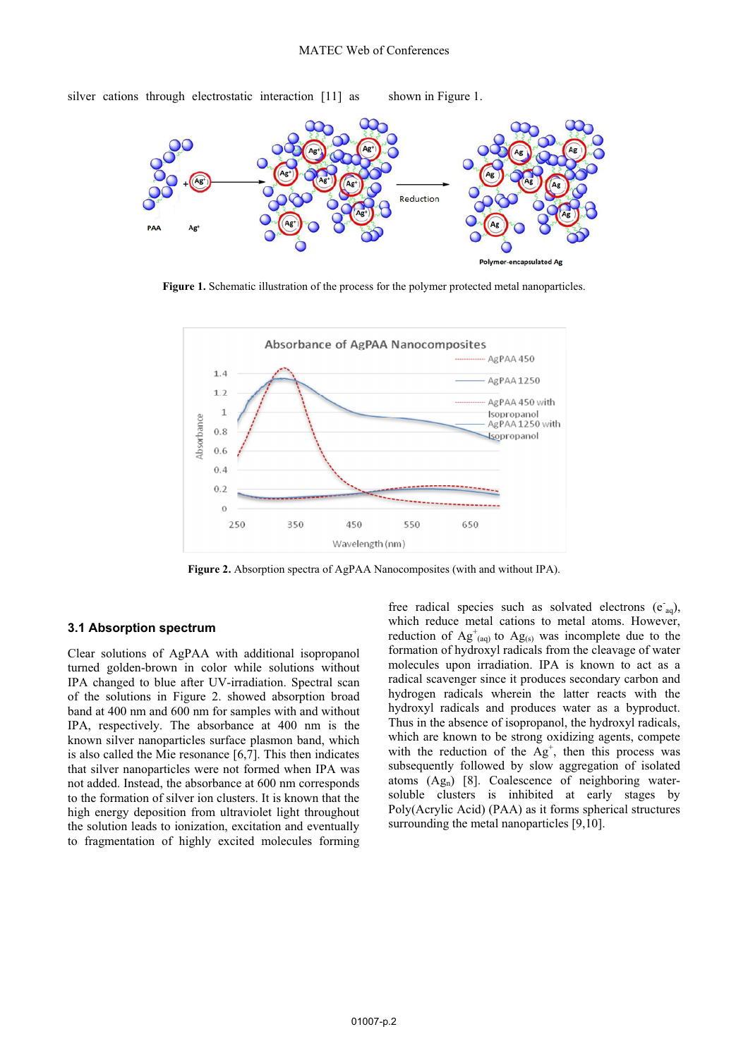

silver cations through electrostatic interaction [11] as shown in Figure 1.

Figure 1. Schematic illustration of the process for the polymer protected metal nanoparticles.



**Figure 2.** Absorption spectra of AgPAA Nanocomposites (with and without IPA).

### **3.1 Absorption spectrum**

Clear solutions of AgPAA with additional isopropanol turned golden-brown in color while solutions without IPA changed to blue after UV-irradiation. Spectral scan of the solutions in Figure 2. showed absorption broad band at 400 nm and 600 nm for samples with and without IPA, respectively. The absorbance at 400 nm is the known silver nanoparticles surface plasmon band, which is also called the Mie resonance [6,7]. This then indicates that silver nanoparticles were not formed when IPA was not added. Instead, the absorbance at 600 nm corresponds to the formation of silver ion clusters. It is known that the high energy deposition from ultraviolet light throughout the solution leads to ionization, excitation and eventually to fragmentation of highly excited molecules forming

free radical species such as solvated electrons  $(e<sub>aq</sub>)$ , which reduce metal cations to metal atoms. However, reduction of  $Ag^{\dagger}_{(aq)}$  to  $Ag_{(s)}$  was incomplete due to the formation of hydroxyl radicals from the cleavage of water molecules upon irradiation. IPA is known to act as a radical scavenger since it produces secondary carbon and hydrogen radicals wherein the latter reacts with the hydroxyl radicals and produces water as a byproduct. Thus in the absence of isopropanol, the hydroxyl radicals, which are known to be strong oxidizing agents, compete with the reduction of the  $Ag^+$ , then this process was subsequently followed by slow aggregation of isolated atoms  $(Ag_n)$  [8]. Coalescence of neighboring watersoluble clusters is inhibited at early stages by Poly(Acrylic Acid) (PAA) as it forms spherical structures surrounding the metal nanoparticles [9,10].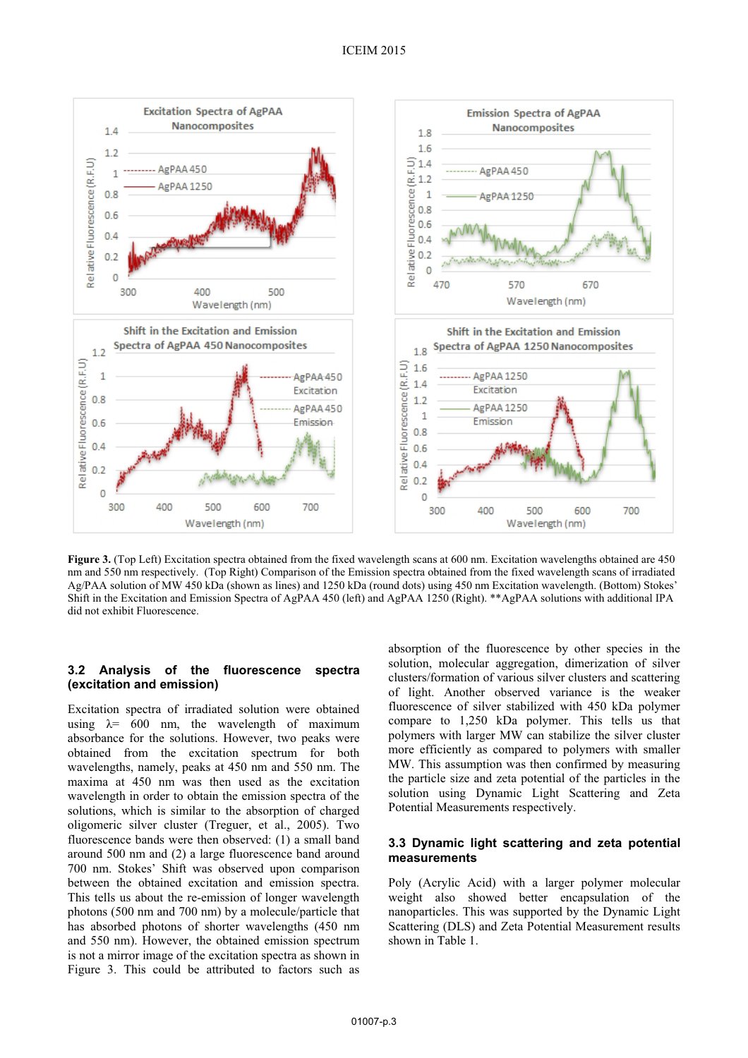

**Figure 3.** (Top Left) Excitation spectra obtained from the fixed wavelength scans at 600 nm. Excitation wavelengths obtained are 450 nm and 550 nm respectively. (Top Right) Comparison of the Emission spectra obtained from the fixed wavelength scans of irradiated Ag/PAA solution of MW 450 kDa (shown as lines) and 1250 kDa (round dots) using 450 nm Excitation wavelength. (Bottom) Stokes' Shift in the Excitation and Emission Spectra of AgPAA 450 (left) and AgPAA 1250 (Right). \*\*AgPAA solutions with additional IPA did not exhibit Fluorescence.

### **3.2 Analysis of the fluorescence spectra (excitation and emission)**

Excitation spectra of irradiated solution were obtained using  $\lambda = 600$  nm, the wavelength of maximum absorbance for the solutions. However, two peaks were obtained from the excitation spectrum for both wavelengths, namely, peaks at 450 nm and 550 nm. The maxima at 450 nm was then used as the excitation wavelength in order to obtain the emission spectra of the solutions, which is similar to the absorption of charged oligomeric silver cluster (Treguer, et al., 2005). Two fluorescence bands were then observed: (1) a small band around 500 nm and (2) a large fluorescence band around 700 nm. Stokes' Shift was observed upon comparison between the obtained excitation and emission spectra. This tells us about the re-emission of longer wavelength photons (500 nm and 700 nm) by a molecule/particle that has absorbed photons of shorter wavelengths (450 nm and 550 nm). However, the obtained emission spectrum is not a mirror image of the excitation spectra as shown in Figure 3. This could be attributed to factors such as absorption of the fluorescence by other species in the solution, molecular aggregation, dimerization of silver clusters/formation of various silver clusters and scattering of light. Another observed variance is the weaker fluorescence of silver stabilized with 450 kDa polymer compare to 1,250 kDa polymer. This tells us that polymers with larger MW can stabilize the silver cluster more efficiently as compared to polymers with smaller MW. This assumption was then confirmed by measuring the particle size and zeta potential of the particles in the solution using Dynamic Light Scattering and Zeta Potential Measurements respectively.

### **3.3 Dynamic light scattering and zeta potential measurements**

Poly (Acrylic Acid) with a larger polymer molecular weight also showed better encapsulation of the nanoparticles. This was supported by the Dynamic Light Scattering (DLS) and Zeta Potential Measurement results shown in Table 1.